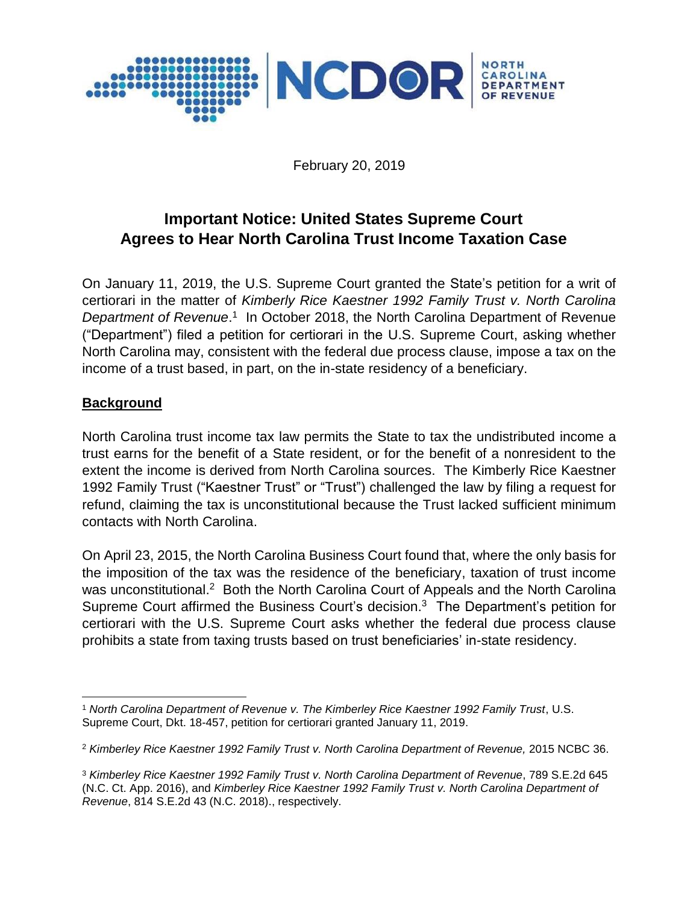

February 20, 2019

# **Important Notice: United States Supreme Court Agrees to Hear North Carolina Trust Income Taxation Case**

On January 11, 2019, the U.S. Supreme Court granted the State's petition for a writ of certiorari in the matter of *Kimberly Rice Kaestner 1992 Family Trust v. North Carolina*  Department of Revenue.<sup>1</sup> In October 2018, the North Carolina Department of Revenue ("Department") filed a petition for certiorari in the U.S. Supreme Court, asking whether North Carolina may, consistent with the federal due process clause, impose a tax on the income of a trust based, in part, on the in-state residency of a beneficiary.

#### **Background**

North Carolina trust income tax law permits the State to tax the undistributed income a trust earns for the benefit of a State resident, or for the benefit of a nonresident to the extent the income is derived from North Carolina sources. The Kimberly Rice Kaestner 1992 Family Trust ("Kaestner Trust" or "Trust") challenged the law by filing a request for refund, claiming the tax is unconstitutional because the Trust lacked sufficient minimum contacts with North Carolina.

On April 23, 2015, the North Carolina Business Court found that, where the only basis for the imposition of the tax was the residence of the beneficiary, taxation of trust income was unconstitutional.<sup>2</sup> Both the North Carolina Court of Appeals and the North Carolina Supreme Court affirmed the Business Court's decision.<sup>3</sup> The Department's petition for certiorari with the U.S. Supreme Court asks whether the federal due process clause prohibits a state from taxing trusts based on trust beneficiaries' in-state residency.

 $\overline{\phantom{a}}$ <sup>1</sup> *North Carolina Department of Revenue v. The Kimberley Rice Kaestner 1992 Family Trust*, U.S. Supreme Court, Dkt. 18-457, petition for certiorari granted January 11, 2019.

<sup>2</sup> *Kimberley Rice Kaestner 1992 Family Trust v. North Carolina Department of Revenue,* 2015 NCBC 36.

<sup>3</sup> *Kimberley Rice Kaestner 1992 Family Trust v. North Carolina Department of Revenue*, 789 S.E.2d 645 (N.C. Ct. App. 2016), and *Kimberley Rice Kaestner 1992 Family Trust v. North Carolina Department of Revenue*, 814 S.E.2d 43 (N.C. 2018)., respectively.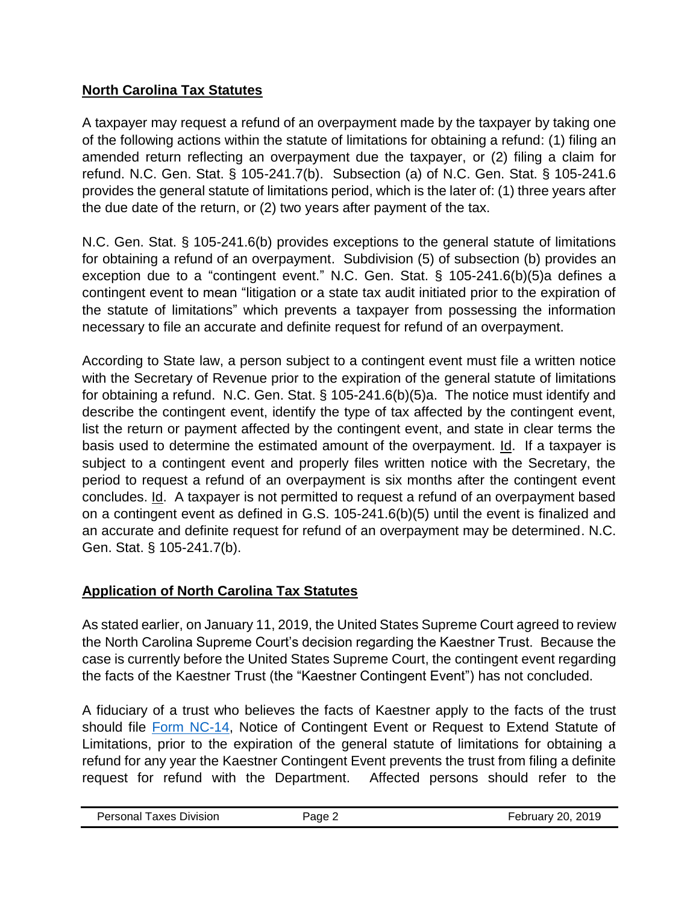# **North Carolina Tax Statutes**

A taxpayer may request a refund of an overpayment made by the taxpayer by taking one of the following actions within the statute of limitations for obtaining a refund: (1) filing an amended return reflecting an overpayment due the taxpayer, or (2) filing a claim for refund. N.C. Gen. Stat. § 105-241.7(b). Subsection (a) of N.C. Gen. Stat. § 105-241.6 provides the general statute of limitations period, which is the later of: (1) three years after the due date of the return, or (2) two years after payment of the tax.

N.C. Gen. Stat. § 105-241.6(b) provides exceptions to the general statute of limitations for obtaining a refund of an overpayment. Subdivision (5) of subsection (b) provides an exception due to a "contingent event." N.C. Gen. Stat. § 105-241.6(b)(5)a defines a contingent event to mean "litigation or a state tax audit initiated prior to the expiration of the statute of limitations" which prevents a taxpayer from possessing the information necessary to file an accurate and definite request for refund of an overpayment.

According to State law, a person subject to a contingent event must file a written notice with the Secretary of Revenue prior to the expiration of the general statute of limitations for obtaining a refund. N.C. Gen. Stat. § 105-241.6(b)(5)a. The notice must identify and describe the contingent event, identify the type of tax affected by the contingent event, list the return or payment affected by the contingent event, and state in clear terms the basis used to determine the estimated amount of the overpayment. Id. If a taxpayer is subject to a contingent event and properly files written notice with the Secretary, the period to request a refund of an overpayment is six months after the contingent event concludes. Id. A taxpayer is not permitted to request a refund of an overpayment based on a contingent event as defined in G.S. 105-241.6(b)(5) until the event is finalized and an accurate and definite request for refund of an overpayment may be determined. N.C. Gen. Stat. § 105-241.7(b).

# **Application of North Carolina Tax Statutes**

As stated earlier, on January 11, 2019, the United States Supreme Court agreed to review the North Carolina Supreme Court's decision regarding the Kaestner Trust. Because the case is currently before the United States Supreme Court, the contingent event regarding the facts of the Kaestner Trust (the "Kaestner Contingent Event") has not concluded.

A fiduciary of a trust who believes the facts of Kaestner apply to the facts of the trust should file [Form NC-14,](https://files.nc.gov/ncdor/documents/forms/nc14.pdf) Notice of Contingent Event or Request to Extend Statute of Limitations, prior to the expiration of the general statute of limitations for obtaining a refund for any year the Kaestner Contingent Event prevents the trust from filing a definite request for refund with the Department. Affected persons should refer to the